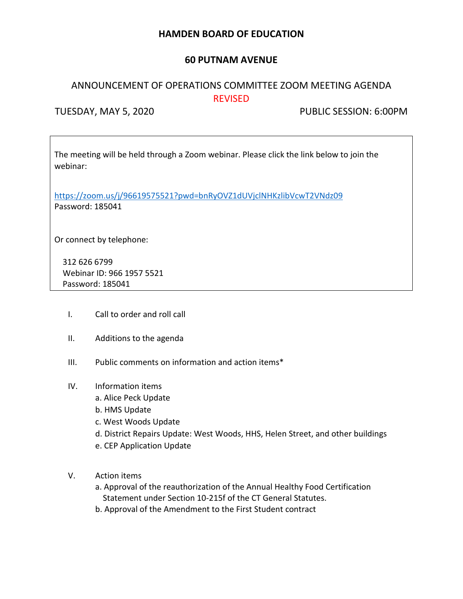# **HAMDEN BOARD OF EDUCATION**

## **60 PUTNAM AVENUE**

# ANNOUNCEMENT OF OPERATIONS COMMITTEE ZOOM MEETING AGENDA REVISED

TUESDAY, MAY 5, 2020 PUBLIC SESSION: 6:00PM

The meeting will be held through a Zoom webinar. Please click the link below to join the webinar:

<https://zoom.us/j/96619575521?pwd=bnRyOVZ1dUVjclNHKzlibVcwT2VNdz09> Password: 185041

Or connect by telephone:

312 626 6799 Webinar ID: 966 1957 5521 Password: 185041

- I. Call to order and roll call
- II. Additions to the agenda
- III. Public comments on information and action items\*
- IV. Information items
	- a. Alice Peck Update
	- b. HMS Update
	- c. West Woods Update
	- d. District Repairs Update: West Woods, HHS, Helen Street, and other buildings
	- e. CEP Application Update
- V. Action items
	- a. Approval of the reauthorization of the Annual Healthy Food Certification Statement under Section 10-215f of the CT General Statutes.
	- b. Approval of the Amendment to the First Student contract